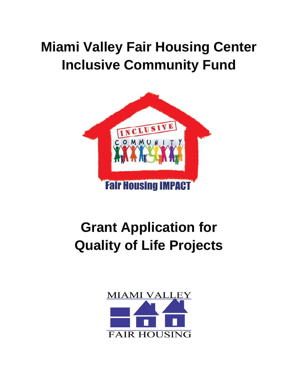# **Miami Valley Fair Housing Center Inclusive Community Fund**



# **Grant Application for Quality of Life Projects**

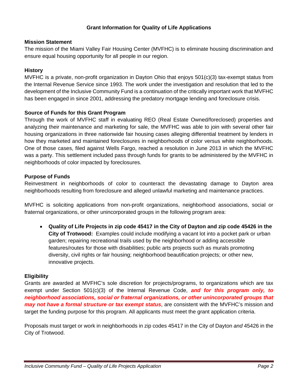# **Grant Information for Quality of Life Applications**

### **Mission Statement**

The mission of the Miami Valley Fair Housing Center (MVFHC) is to eliminate housing discrimination and ensure equal housing opportunity for all people in our region.

# **History**

MVFHC is a private, non-profit organization in Dayton Ohio that enjoys 501(c)(3) tax-exempt status from the Internal Revenue Service since 1993. The work under the investigation and resolution that led to the development of the Inclusive Community Fund is a continuation of the critically important work that MVFHC has been engaged in since 2001, addressing the predatory mortgage lending and foreclosure crisis.

# **Source of Funds for this Grant Program**

Through the work of MVFHC staff in evaluating REO (Real Estate Owned/foreclosed) properties and analyzing their maintenance and marketing for sale, the MVFHC was able to join with several other fair housing organizations in three nationwide fair housing cases alleging differential treatment by lenders in how they marketed and maintained foreclosures in neighborhoods of color versus white neighborhoods. One of those cases, filed against Wells Fargo, reached a resolution in June 2013 in which the MVFHC was a party. This settlement included pass through funds for grants to be administered by the MVFHC in neighborhoods of color impacted by foreclosures.

# **Purpose of Funds**

Reinvestment in neighborhoods of color to counteract the devastating damage to Dayton area neighborhoods resulting from foreclosure and alleged unlawful marketing and maintenance practices.

MVFHC is soliciting applications from non-profit organizations, neighborhood associations, social or fraternal organizations, or other unincorporated groups in the following program area:

 **Quality of Life Projects in zip code 45417 in the City of Dayton and zip code 45426 in the City of Trotwood:** Examples could include modifying a vacant lot into a pocket park or urban garden; repairing recreational trails used by the neighborhood or adding accessible features/routes for those with disabilities; public arts projects such as murals promoting diversity, civil rights or fair housing; neighborhood beautification projects; or other new, innovative projects.

#### **Eligibility**

Grants are awarded at MVFHC's sole discretion for projects/programs, to organizations which are tax exempt under Section 501(c)(3) of the Internal Revenue Code, *and for this program only, to neighborhood associations, social or fraternal organizations, or other unincorporated groups that may not have a formal structure or tax exempt status*, are consistent with the MVFHC's mission and target the funding purpose for this program. All applicants must meet the grant application criteria.

Proposals must target or work in neighborhoods in zip codes 45417 in the City of Dayton *and* 45426 in the City of Trotwood.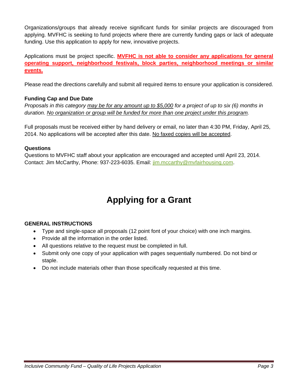Organizations/groups that already receive significant funds for similar projects are discouraged from applying. MVFHC is seeking to fund projects where there are currently funding gaps or lack of adequate funding. Use this application to apply for new, innovative projects.

Applications must be project specific. **MVFHC is not able to consider any applications for general operating support, neighborhood festivals, block parties, neighborhood meetings or similar events.**

Please read the directions carefully and submit all required items to ensure your application is considered.

# **Funding Cap and Due Date**

*Proposals in this category may be for any amount up to \$5,000 for a project of up to six (6) months in duration. No organization or group will be funded for more than one project under this program.* 

Full proposals must be received either by hand delivery or email, no later than 4:30 PM, Friday, April 25, 2014. No applications will be accepted after this date. No faxed copies will be accepted.

# **Questions**

Questions to MVFHC staff about your application are encouraged and accepted until April 23, 2014. Contact: Jim McCarthy, Phone: 937-223-6035. Email: jim.mccarthy@mvfairhousing.com.

# **Applying for a Grant**

# **GENERAL INSTRUCTIONS**

- Type and single-space all proposals (12 point font of your choice) with one inch margins.
- Provide all the information in the order listed.
- All questions relative to the request must be completed in full.
- Submit only one copy of your application with pages sequentially numbered. Do not bind or staple.
- Do not include materials other than those specifically requested at this time.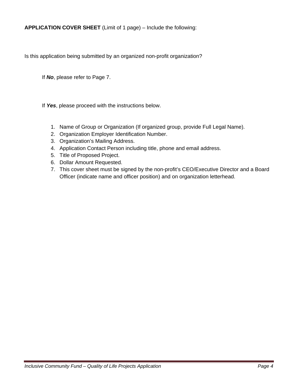**APPLICATION COVER SHEET** (Limit of 1 page) – Include the following:

Is this application being submitted by an organized non-profit organization?

If *No*, please refer to Page 7.

If *Yes*, please proceed with the instructions below.

- 1. Name of Group or Organization (If organized group, provide Full Legal Name).
- 2. Organization Employer Identification Number.
- 3. Organization's Mailing Address.
- 4. Application Contact Person including title, phone and email address.
- 5. Title of Proposed Project.
- 6. Dollar Amount Requested.
- 7. This cover sheet must be signed by the non-profit's CEO/Executive Director and a Board Officer (indicate name and officer position) and on organization letterhead.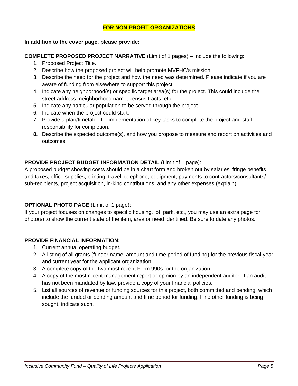# **FOR NON-PROFIT ORGANIZATIONS**

### **In addition to the cover page, please provide:**

**COMPLETE PROPOSED PROJECT NARRATIVE** (Limit of 1 pages) – Include the following:

- 1. Proposed Project Title.
- 2. Describe how the proposed project will help promote MVFHC's mission.
- 3. Describe the need for the project and how the need was determined. Please indicate if you are aware of funding from elsewhere to support this project.
- 4. Indicate any neighborhood(s) or specific target area(s) for the project. This could include the street address, neighborhood name, census tracts, etc.
- 5. Indicate any particular population to be served through the project.
- 6. Indicate when the project could start.
- 7. Provide a plan/timetable for implementation of key tasks to complete the project and staff responsibility for completion.
- **8.** Describe the expected outcome(s), and how you propose to measure and report on activities and outcomes.

# **PROVIDE PROJECT BUDGET INFORMATION DETAIL** (Limit of 1 page):

A proposed budget showing costs should be in a chart form and broken out by salaries, fringe benefits and taxes, office supplies, printing, travel, telephone, equipment, payments to contractors/consultants/ sub-recipients, project acquisition, in-kind contributions, and any other expenses (explain).

# **OPTIONAL PHOTO PAGE** (Limit of 1 page):

If your project focuses on changes to specific housing, lot, park, etc., you may use an extra page for photo(s) to show the current state of the item, area or need identified. Be sure to date any photos.

# **PROVIDE FINANCIAL INFORMATION:**

- 1. Current annual operating budget.
- 2. A listing of all grants (funder name, amount and time period of funding) for the previous fiscal year and current year for the applicant organization.
- 3. A complete copy of the two most recent Form 990s for the organization.
- 4. A copy of the most recent management report or opinion by an independent auditor. If an audit has not been mandated by law, provide a copy of your financial policies.
- 5. List all sources of revenue or funding sources for this project, both committed and pending, which include the funded or pending amount and time period for funding. If no other funding is being sought, indicate such.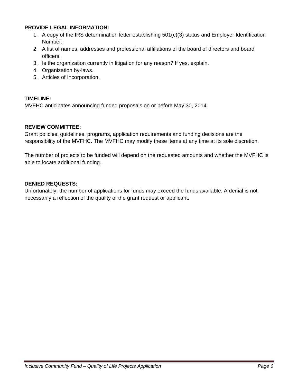### **PROVIDE LEGAL INFORMATION:**

- 1. A copy of the IRS determination letter establishing 501(c)(3) status and Employer Identification Number.
- 2. A list of names, addresses and professional affiliations of the board of directors and board officers.
- 3. Is the organization currently in litigation for any reason? If yes, explain.
- 4. Organization by-laws.
- 5. Articles of Incorporation.

# **TIMELINE:**

MVFHC anticipates announcing funded proposals on or before May 30, 2014.

# **REVIEW COMMITTEE:**

Grant policies, guidelines, programs, application requirements and funding decisions are the responsibility of the MVFHC. The MVFHC may modify these items at any time at its sole discretion.

The number of projects to be funded will depend on the requested amounts and whether the MVFHC is able to locate additional funding.

# **DENIED REQUESTS:**

Unfortunately, the number of applications for funds may exceed the funds available. A denial is not necessarily a reflection of the quality of the grant request or applicant.